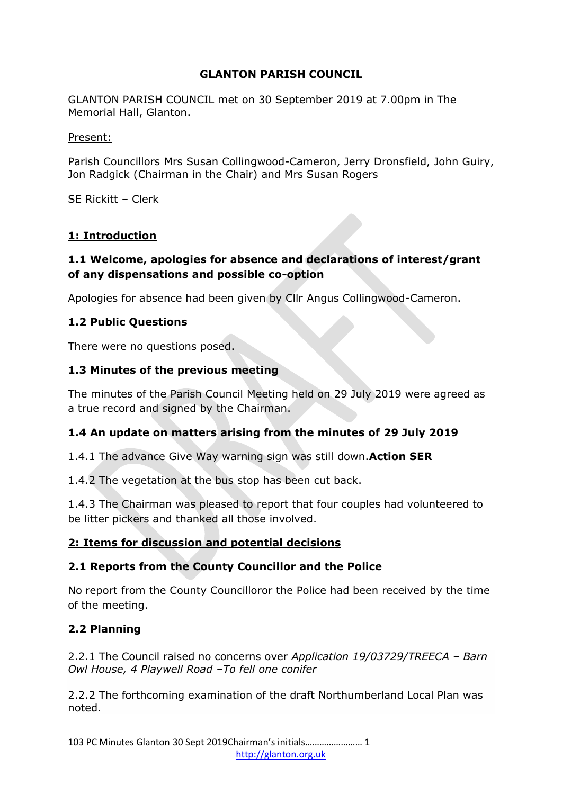# **GLANTON PARISH COUNCIL**

GLANTON PARISH COUNCIL met on 30 September 2019 at 7.00pm in The Memorial Hall, Glanton.

#### Present:

Parish Councillors Mrs Susan Collingwood-Cameron, Jerry Dronsfield, John Guiry, Jon Radgick (Chairman in the Chair) and Mrs Susan Rogers

SE Rickitt – Clerk

# **1: Introduction**

# **1.1 Welcome, apologies for absence and declarations of interest/grant of any dispensations and possible co-option**

Apologies for absence had been given by Cllr Angus Collingwood-Cameron.

## **1.2 Public Questions**

There were no questions posed.

## **1.3 Minutes of the previous meeting**

The minutes of the Parish Council Meeting held on 29 July 2019 were agreed as a true record and signed by the Chairman.

## **1.4 An update on matters arising from the minutes of 29 July 2019**

1.4.1 The advance Give Way warning sign was still down.**Action SER** 

1.4.2 The vegetation at the bus stop has been cut back.

1.4.3 The Chairman was pleased to report that four couples had volunteered to be litter pickers and thanked all those involved.

## **2: Items for discussion and potential decisions**

## **2.1 Reports from the County Councillor and the Police**

No report from the County Councilloror the Police had been received by the time of the meeting.

## **2.2 Planning**

2.2.1 The Council raised no concerns over *Application 19/03729/TREECA – Barn Owl House, 4 Playwell Road –To fell one conifer*

2.2.2 The forthcoming examination of the draft Northumberland Local Plan was noted.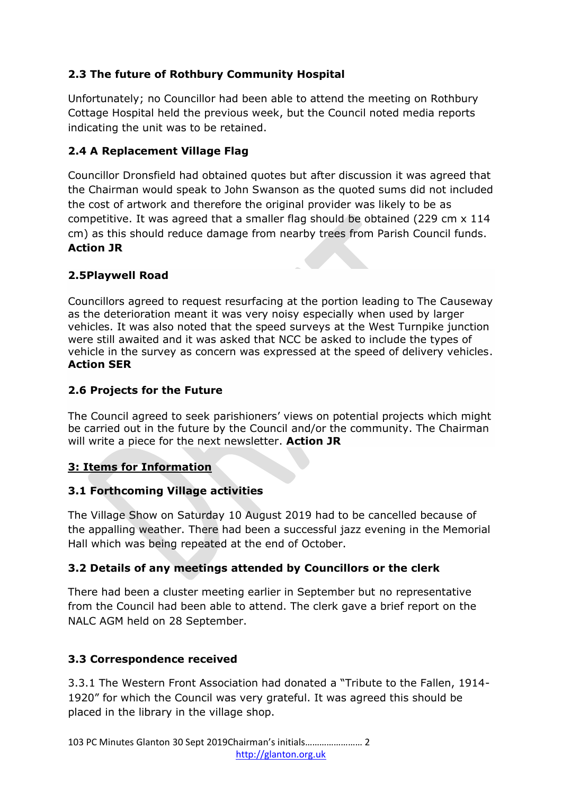# **2.3 The future of Rothbury Community Hospital**

Unfortunately; no Councillor had been able to attend the meeting on Rothbury Cottage Hospital held the previous week, but the Council noted media reports indicating the unit was to be retained.

# **2.4 A Replacement Village Flag**

Councillor Dronsfield had obtained quotes but after discussion it was agreed that the Chairman would speak to John Swanson as the quoted sums did not included the cost of artwork and therefore the original provider was likely to be as competitive. It was agreed that a smaller flag should be obtained (229 cm x 114 cm) as this should reduce damage from nearby trees from Parish Council funds. **Action JR**

# **2.5Playwell Road**

Councillors agreed to request resurfacing at the portion leading to The Causeway as the deterioration meant it was very noisy especially when used by larger vehicles. It was also noted that the speed surveys at the West Turnpike junction were still awaited and it was asked that NCC be asked to include the types of vehicle in the survey as concern was expressed at the speed of delivery vehicles. **Action SER**

# **2.6 Projects for the Future**

The Council agreed to seek parishioners' views on potential projects which might be carried out in the future by the Council and/or the community. The Chairman will write a piece for the next newsletter. **Action JR**

# **3: Items for Information**

## **3.1 Forthcoming Village activities**

The Village Show on Saturday 10 August 2019 had to be cancelled because of the appalling weather. There had been a successful jazz evening in the Memorial Hall which was being repeated at the end of October.

# **3.2 Details of any meetings attended by Councillors or the clerk**

There had been a cluster meeting earlier in September but no representative from the Council had been able to attend. The clerk gave a brief report on the NALC AGM held on 28 September.

# **3.3 Correspondence received**

3.3.1 The Western Front Association had donated a "Tribute to the Fallen, 1914- 1920" for which the Council was very grateful. It was agreed this should be placed in the library in the village shop.